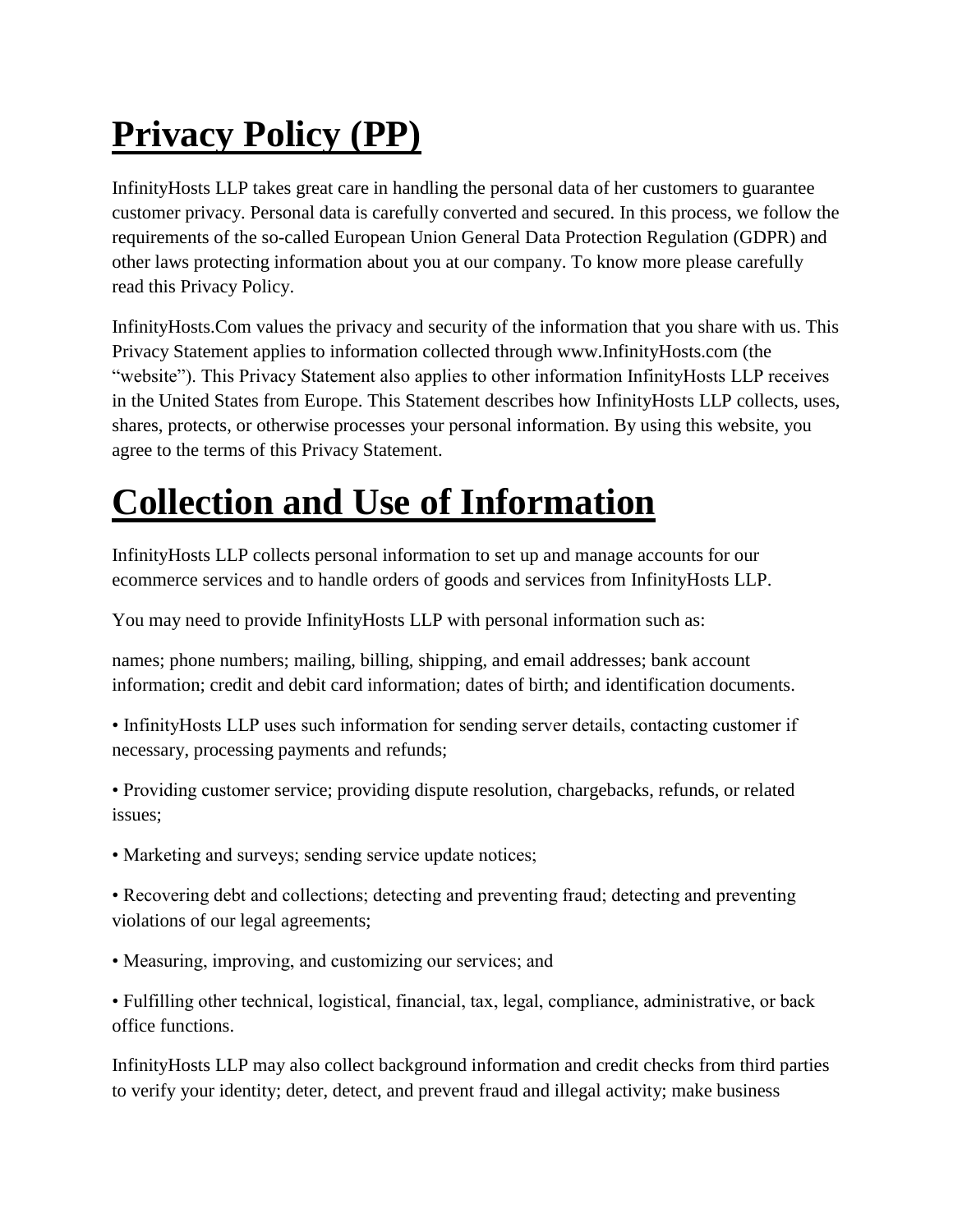# **Privacy Policy (PP)**

InfinityHosts LLP takes great care in handling the personal data of her customers to guarantee customer privacy. Personal data is carefully converted and secured. In this process, we follow the requirements of the so-called European Union General Data Protection Regulation (GDPR) and other laws protecting information about you at our company. To know more please carefully read this Privacy Policy.

InfinityHosts.Com values the privacy and security of the information that you share with us. This Privacy Statement applies to information collected through www.InfinityHosts.com (the "website"). This Privacy Statement also applies to other information InfinityHosts LLP receives in the United States from Europe. This Statement describes how InfinityHosts LLP collects, uses, shares, protects, or otherwise processes your personal information. By using this website, you agree to the terms of this Privacy Statement.

## **Collection and Use of Information**

InfinityHosts LLP collects personal information to set up and manage accounts for our ecommerce services and to handle orders of goods and services from InfinityHosts LLP.

You may need to provide InfinityHosts LLP with personal information such as:

names; phone numbers; mailing, billing, shipping, and email addresses; bank account information; credit and debit card information; dates of birth; and identification documents.

• InfinityHosts LLP uses such information for sending server details, contacting customer if necessary, processing payments and refunds;

• Providing customer service; providing dispute resolution, chargebacks, refunds, or related issues;

• Marketing and surveys; sending service update notices;

• Recovering debt and collections; detecting and preventing fraud; detecting and preventing violations of our legal agreements;

• Measuring, improving, and customizing our services; and

• Fulfilling other technical, logistical, financial, tax, legal, compliance, administrative, or back office functions.

InfinityHosts LLP may also collect background information and credit checks from third parties to verify your identity; deter, detect, and prevent fraud and illegal activity; make business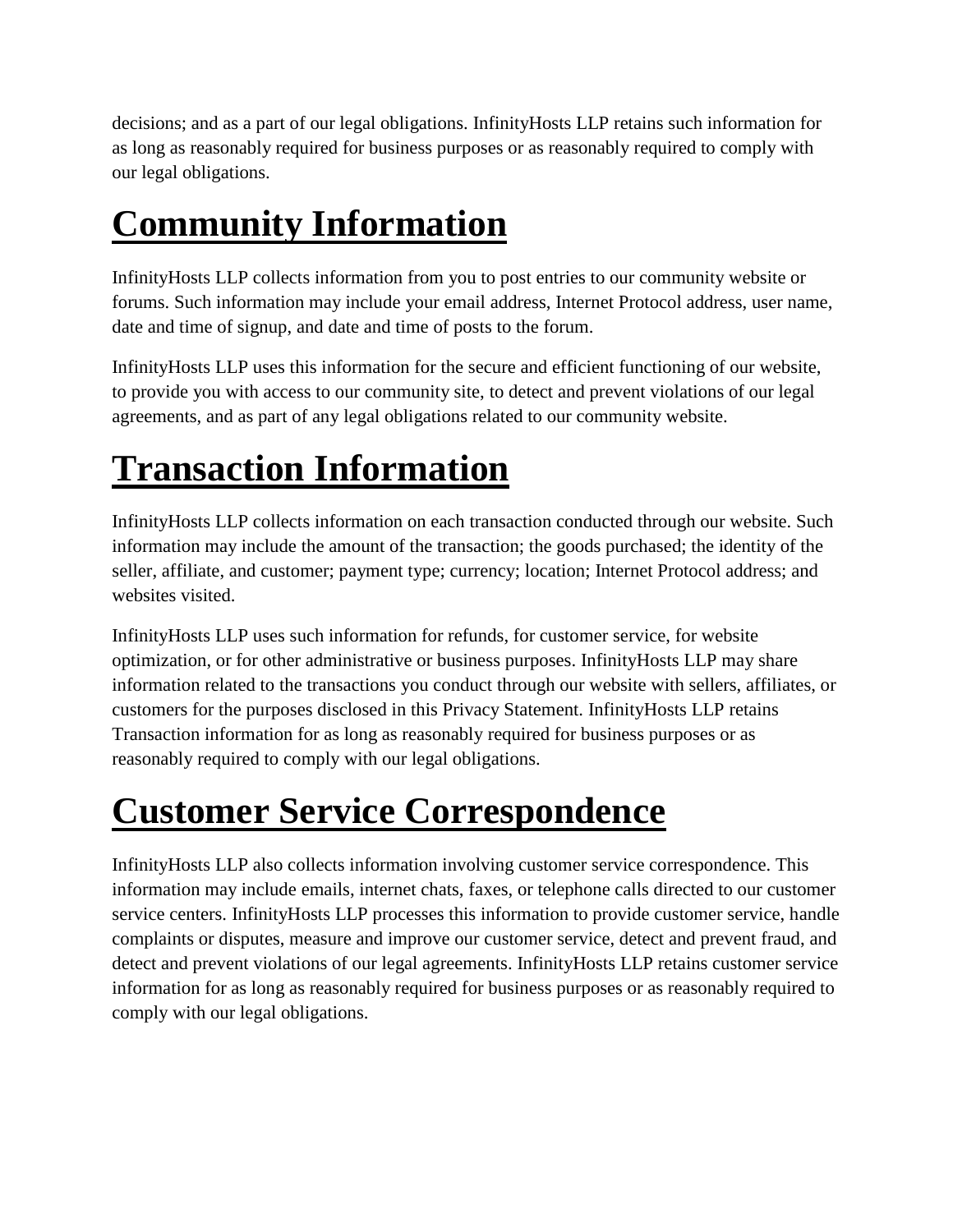decisions; and as a part of our legal obligations. InfinityHosts LLP retains such information for as long as reasonably required for business purposes or as reasonably required to comply with our legal obligations.

# **Community Information**

InfinityHosts LLP collects information from you to post entries to our community website or forums. Such information may include your email address, Internet Protocol address, user name, date and time of signup, and date and time of posts to the forum.

InfinityHosts LLP uses this information for the secure and efficient functioning of our website, to provide you with access to our community site, to detect and prevent violations of our legal agreements, and as part of any legal obligations related to our community website.

## **Transaction Information**

InfinityHosts LLP collects information on each transaction conducted through our website. Such information may include the amount of the transaction; the goods purchased; the identity of the seller, affiliate, and customer; payment type; currency; location; Internet Protocol address; and websites visited.

InfinityHosts LLP uses such information for refunds, for customer service, for website optimization, or for other administrative or business purposes. InfinityHosts LLP may share information related to the transactions you conduct through our website with sellers, affiliates, or customers for the purposes disclosed in this Privacy Statement. InfinityHosts LLP retains Transaction information for as long as reasonably required for business purposes or as reasonably required to comply with our legal obligations.

## **Customer Service Correspondence**

InfinityHosts LLP also collects information involving customer service correspondence. This information may include emails, internet chats, faxes, or telephone calls directed to our customer service centers. InfinityHosts LLP processes this information to provide customer service, handle complaints or disputes, measure and improve our customer service, detect and prevent fraud, and detect and prevent violations of our legal agreements. InfinityHosts LLP retains customer service information for as long as reasonably required for business purposes or as reasonably required to comply with our legal obligations.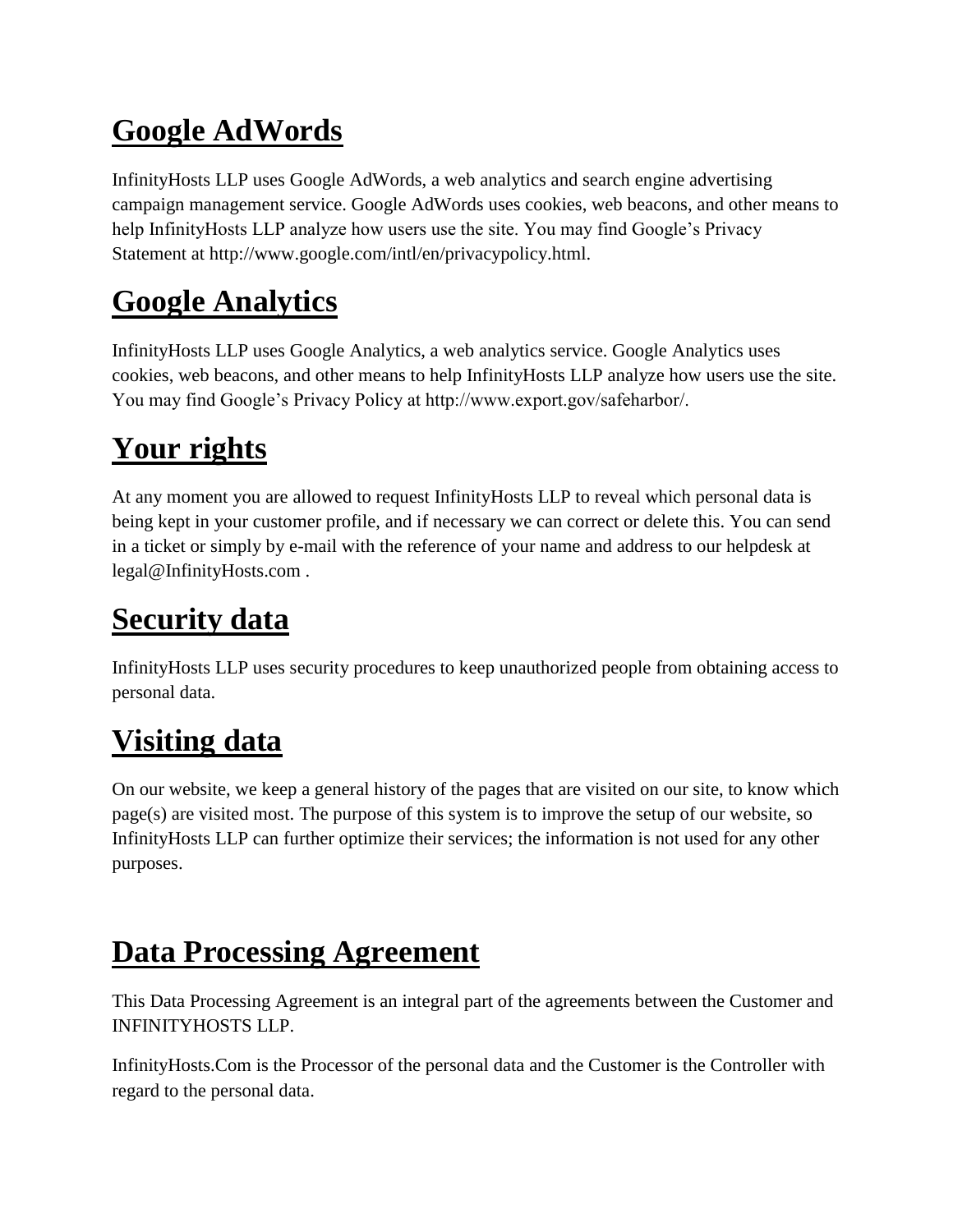### **Google AdWords**

InfinityHosts LLP uses Google AdWords, a web analytics and search engine advertising campaign management service. Google AdWords uses cookies, web beacons, and other means to help InfinityHosts LLP analyze how users use the site. You may find Google's Privacy Statement at http://www.google.com/intl/en/privacypolicy.html.

## **Google Analytics**

InfinityHosts LLP uses Google Analytics, a web analytics service. Google Analytics uses cookies, web beacons, and other means to help InfinityHosts LLP analyze how users use the site. You may find Google's Privacy Policy at http://www.export.gov/safeharbor/.

### **Your rights**

At any moment you are allowed to request InfinityHosts LLP to reveal which personal data is being kept in your customer profile, and if necessary we can correct or delete this. You can send in a ticket or simply by e-mail with the reference of your name and address to our helpdesk at legal@InfinityHosts.com .

### **Security data**

InfinityHosts LLP uses security procedures to keep unauthorized people from obtaining access to personal data.

### **Visiting data**

On our website, we keep a general history of the pages that are visited on our site, to know which page(s) are visited most. The purpose of this system is to improve the setup of our website, so InfinityHosts LLP can further optimize their services; the information is not used for any other purposes.

### **Data Processing Agreement**

This Data Processing Agreement is an integral part of the agreements between the Customer and INFINITYHOSTS LLP.

InfinityHosts.Com is the Processor of the personal data and the Customer is the Controller with regard to the personal data.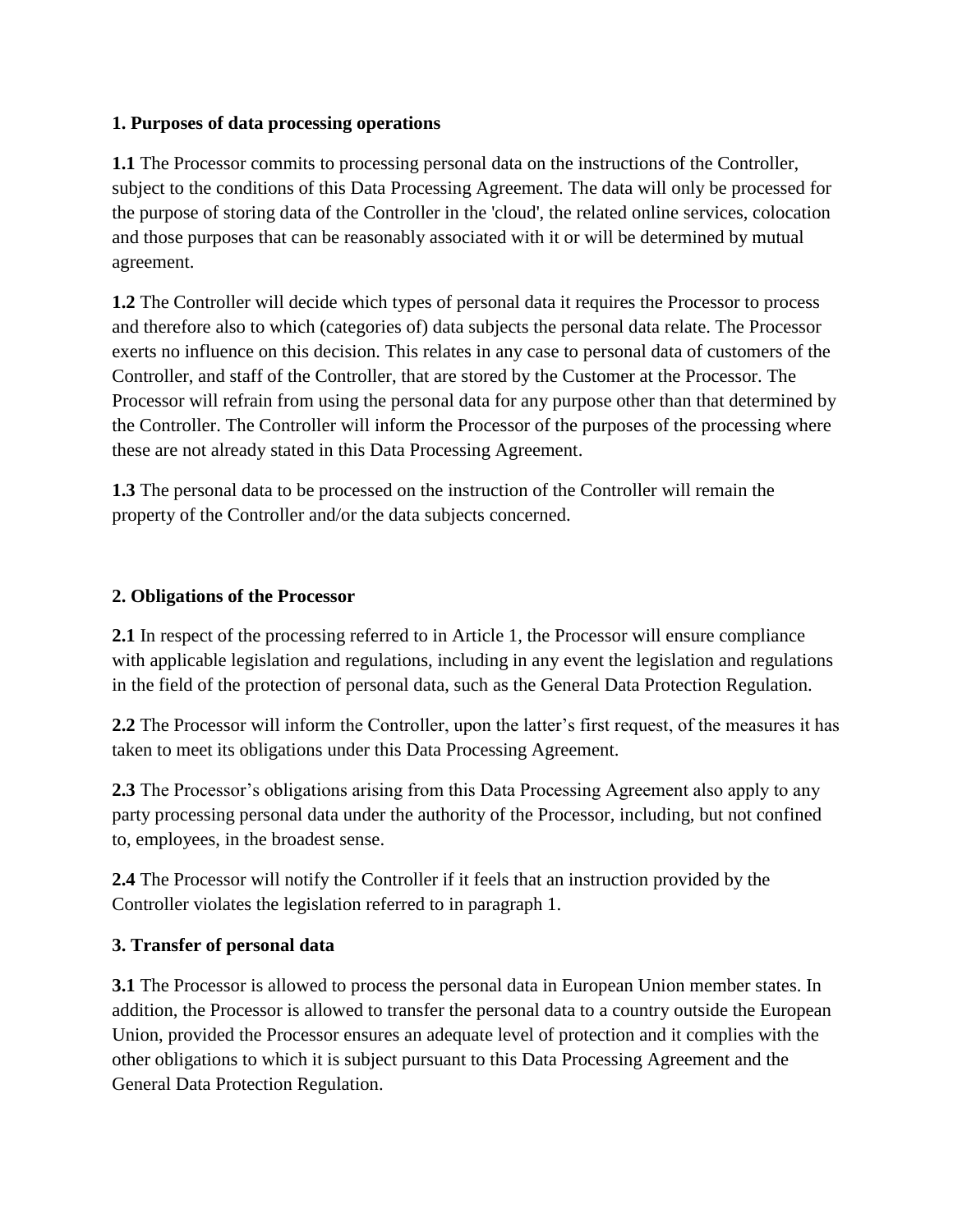#### **1. Purposes of data processing operations**

**1.1** The Processor commits to processing personal data on the instructions of the Controller, subject to the conditions of this Data Processing Agreement. The data will only be processed for the purpose of storing data of the Controller in the 'cloud', the related online services, colocation and those purposes that can be reasonably associated with it or will be determined by mutual agreement.

**1.2** The Controller will decide which types of personal data it requires the Processor to process and therefore also to which (categories of) data subjects the personal data relate. The Processor exerts no influence on this decision. This relates in any case to personal data of customers of the Controller, and staff of the Controller, that are stored by the Customer at the Processor. The Processor will refrain from using the personal data for any purpose other than that determined by the Controller. The Controller will inform the Processor of the purposes of the processing where these are not already stated in this Data Processing Agreement.

**1.3** The personal data to be processed on the instruction of the Controller will remain the property of the Controller and/or the data subjects concerned.

#### **2. Obligations of the Processor**

**2.1** In respect of the processing referred to in Article 1, the Processor will ensure compliance with applicable legislation and regulations, including in any event the legislation and regulations in the field of the protection of personal data, such as the General Data Protection Regulation.

**2.2** The Processor will inform the Controller, upon the latter's first request, of the measures it has taken to meet its obligations under this Data Processing Agreement.

**2.3** The Processor's obligations arising from this Data Processing Agreement also apply to any party processing personal data under the authority of the Processor, including, but not confined to, employees, in the broadest sense.

**2.4** The Processor will notify the Controller if it feels that an instruction provided by the Controller violates the legislation referred to in paragraph 1.

#### **3. Transfer of personal data**

**3.1** The Processor is allowed to process the personal data in European Union member states. In addition, the Processor is allowed to transfer the personal data to a country outside the European Union, provided the Processor ensures an adequate level of protection and it complies with the other obligations to which it is subject pursuant to this Data Processing Agreement and the General Data Protection Regulation.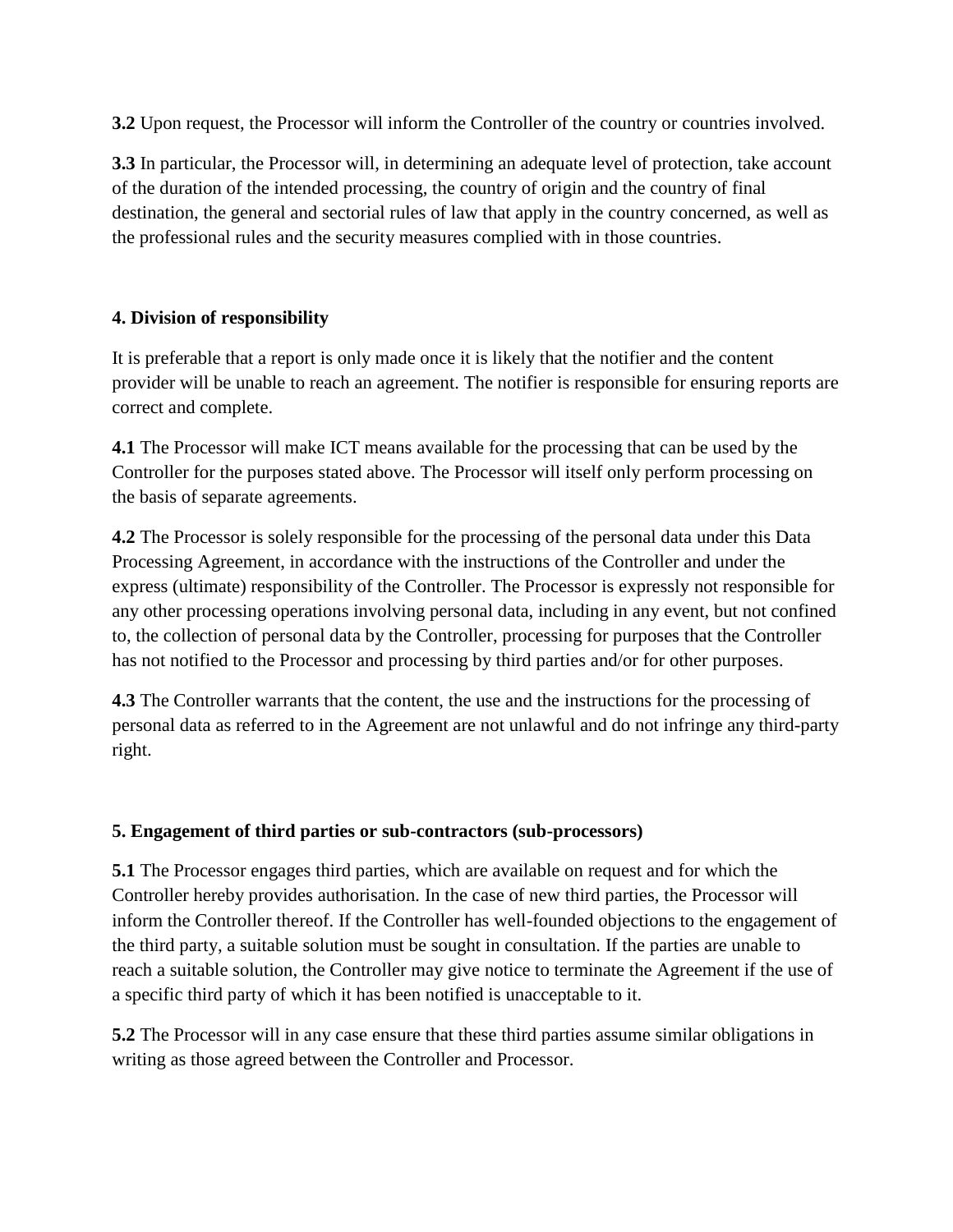**3.2** Upon request, the Processor will inform the Controller of the country or countries involved.

**3.3** In particular, the Processor will, in determining an adequate level of protection, take account of the duration of the intended processing, the country of origin and the country of final destination, the general and sectorial rules of law that apply in the country concerned, as well as the professional rules and the security measures complied with in those countries.

#### **4. Division of responsibility**

It is preferable that a report is only made once it is likely that the notifier and the content provider will be unable to reach an agreement. The notifier is responsible for ensuring reports are correct and complete.

**4.1** The Processor will make ICT means available for the processing that can be used by the Controller for the purposes stated above. The Processor will itself only perform processing on the basis of separate agreements.

**4.2** The Processor is solely responsible for the processing of the personal data under this Data Processing Agreement, in accordance with the instructions of the Controller and under the express (ultimate) responsibility of the Controller. The Processor is expressly not responsible for any other processing operations involving personal data, including in any event, but not confined to, the collection of personal data by the Controller, processing for purposes that the Controller has not notified to the Processor and processing by third parties and/or for other purposes.

**4.3** The Controller warrants that the content, the use and the instructions for the processing of personal data as referred to in the Agreement are not unlawful and do not infringe any third-party right.

#### **5. Engagement of third parties or sub-contractors (sub-processors)**

**5.1** The Processor engages third parties, which are available on request and for which the Controller hereby provides authorisation. In the case of new third parties, the Processor will inform the Controller thereof. If the Controller has well-founded objections to the engagement of the third party, a suitable solution must be sought in consultation. If the parties are unable to reach a suitable solution, the Controller may give notice to terminate the Agreement if the use of a specific third party of which it has been notified is unacceptable to it.

**5.2** The Processor will in any case ensure that these third parties assume similar obligations in writing as those agreed between the Controller and Processor.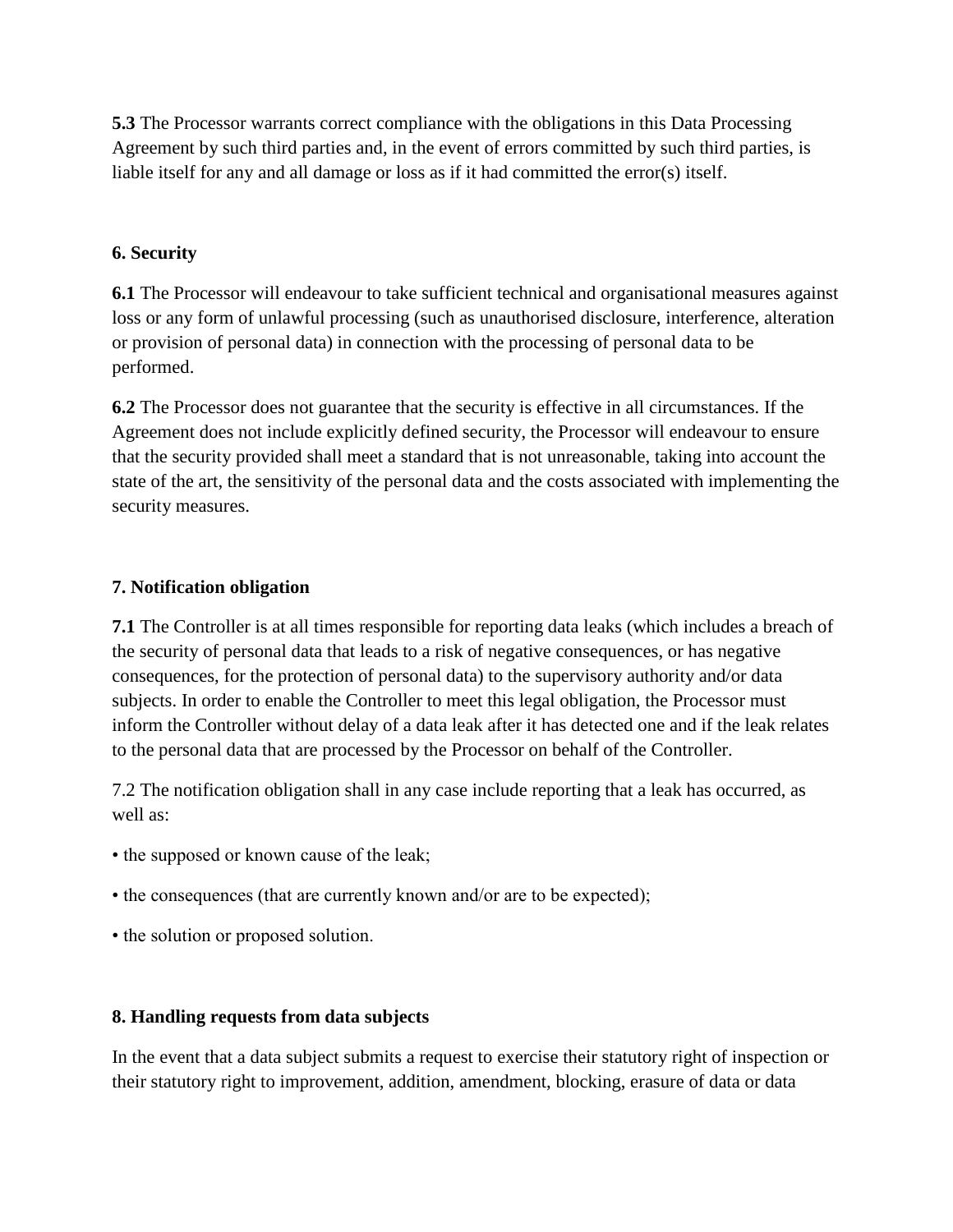**5.3** The Processor warrants correct compliance with the obligations in this Data Processing Agreement by such third parties and, in the event of errors committed by such third parties, is liable itself for any and all damage or loss as if it had committed the error(s) itself.

#### **6. Security**

**6.1** The Processor will endeavour to take sufficient technical and organisational measures against loss or any form of unlawful processing (such as unauthorised disclosure, interference, alteration or provision of personal data) in connection with the processing of personal data to be performed.

**6.2** The Processor does not guarantee that the security is effective in all circumstances. If the Agreement does not include explicitly defined security, the Processor will endeavour to ensure that the security provided shall meet a standard that is not unreasonable, taking into account the state of the art, the sensitivity of the personal data and the costs associated with implementing the security measures.

#### **7. Notification obligation**

**7.1** The Controller is at all times responsible for reporting data leaks (which includes a breach of the security of personal data that leads to a risk of negative consequences, or has negative consequences, for the protection of personal data) to the supervisory authority and/or data subjects. In order to enable the Controller to meet this legal obligation, the Processor must inform the Controller without delay of a data leak after it has detected one and if the leak relates to the personal data that are processed by the Processor on behalf of the Controller.

7.2 The notification obligation shall in any case include reporting that a leak has occurred, as well as:

- the supposed or known cause of the leak;
- the consequences (that are currently known and/or are to be expected);
- the solution or proposed solution.

#### **8. Handling requests from data subjects**

In the event that a data subject submits a request to exercise their statutory right of inspection or their statutory right to improvement, addition, amendment, blocking, erasure of data or data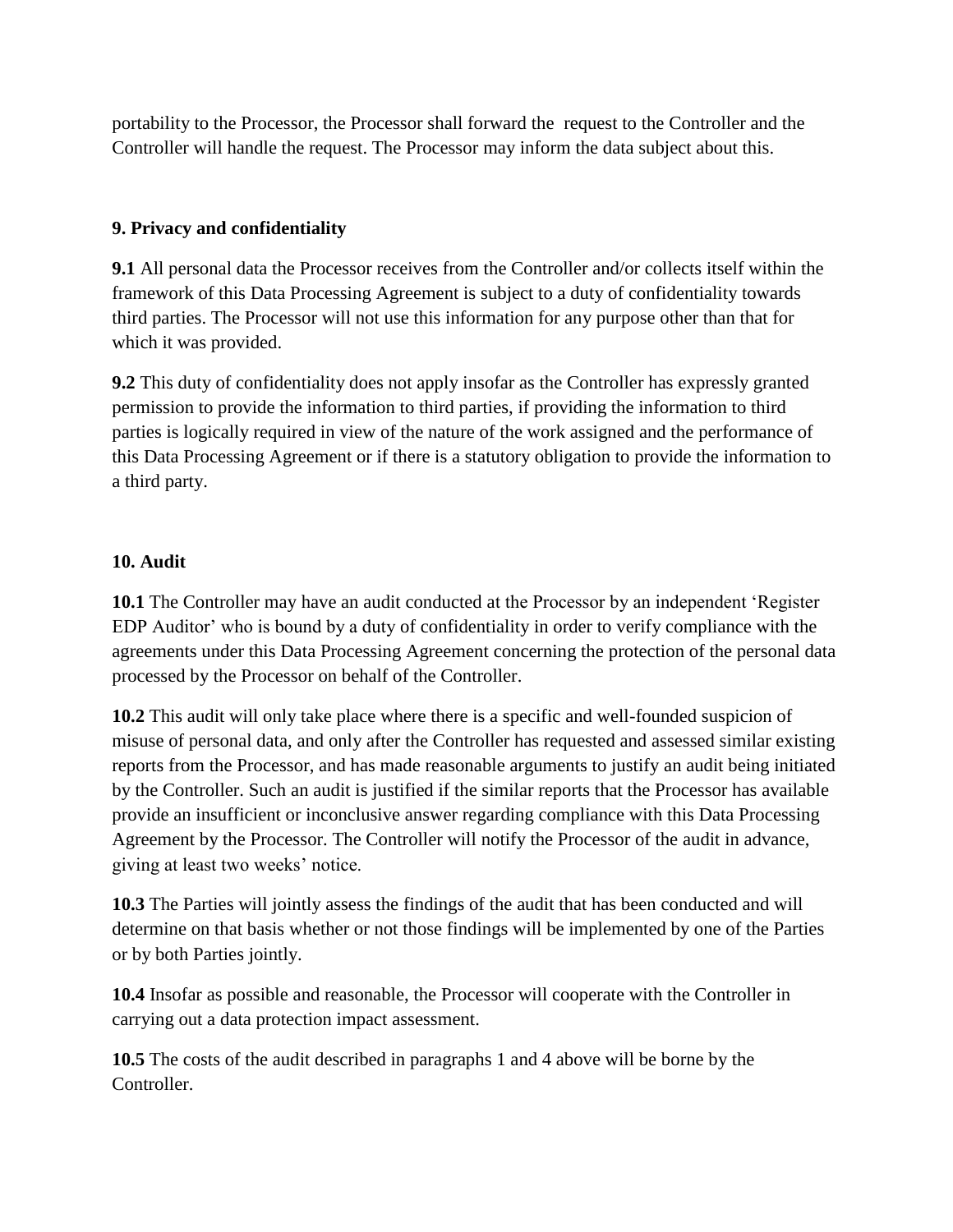portability to the Processor, the Processor shall forward the request to the Controller and the Controller will handle the request. The Processor may inform the data subject about this.

#### **9. Privacy and confidentiality**

**9.1** All personal data the Processor receives from the Controller and/or collects itself within the framework of this Data Processing Agreement is subject to a duty of confidentiality towards third parties. The Processor will not use this information for any purpose other than that for which it was provided.

**9.2** This duty of confidentiality does not apply insofar as the Controller has expressly granted permission to provide the information to third parties, if providing the information to third parties is logically required in view of the nature of the work assigned and the performance of this Data Processing Agreement or if there is a statutory obligation to provide the information to a third party.

#### **10. Audit**

**10.1** The Controller may have an audit conducted at the Processor by an independent 'Register EDP Auditor' who is bound by a duty of confidentiality in order to verify compliance with the agreements under this Data Processing Agreement concerning the protection of the personal data processed by the Processor on behalf of the Controller.

**10.2** This audit will only take place where there is a specific and well-founded suspicion of misuse of personal data, and only after the Controller has requested and assessed similar existing reports from the Processor, and has made reasonable arguments to justify an audit being initiated by the Controller. Such an audit is justified if the similar reports that the Processor has available provide an insufficient or inconclusive answer regarding compliance with this Data Processing Agreement by the Processor. The Controller will notify the Processor of the audit in advance, giving at least two weeks' notice.

**10.3** The Parties will jointly assess the findings of the audit that has been conducted and will determine on that basis whether or not those findings will be implemented by one of the Parties or by both Parties jointly.

**10.4** Insofar as possible and reasonable, the Processor will cooperate with the Controller in carrying out a data protection impact assessment.

**10.5** The costs of the audit described in paragraphs 1 and 4 above will be borne by the Controller.